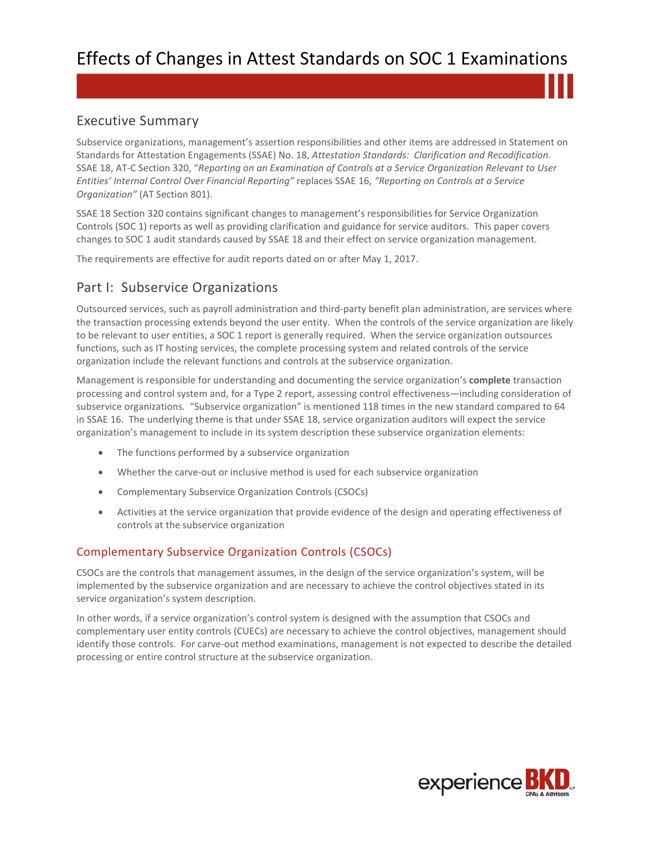# Executive Summary

Subservice organizations, management's assertion responsibilities and other items are addressed in Statement on Standards for Attestation Engagements (SSAE) No. 18, *Attestation Standards: Clarification and Recodification.* SSAE 18, AT-C Section 320, "*Reporting on an Examination of Controls at a Service Organization Relevant to User Entities' Internal Control Over Financial Reporting"* replaces SSAE 16, *"Reporting on Controls at a Service Organization"* (AT Section 801).

SSAE 18 Section 320 contains significant changes to management's responsibilities for Service Organization Controls (SOC 1) reports as well as providing clarification and guidance for service auditors. This paper covers changes to SOC 1 audit standards caused by SSAE 18 and their effect on service organization management.

The requirements are effective for audit reports dated on or after May 1, 2017.

# Part I: Subservice Organizations

Outsourced services, such as payroll administration and third-party benefit plan administration, are services where the transaction processing extends beyond the user entity. When the controls of the service organization are likely to be relevant to user entities, a SOC 1 report is generally required. When the service organization outsources functions, such as IT hosting services, the complete processing system and related controls of the service organization include the relevant functions and controls at the subservice organization.

Management is responsible for understanding and documenting the service organization's **complete** transaction processing and control system and, for a Type 2 report, assessing control effectiveness—including consideration of subservice organizations. "Subservice organization" is mentioned 118 times in the new standard compared to 64 in SSAE 16. The underlying theme is that under SSAE 18, service organization auditors will expect the service organization's management to include in its system description these subservice organization elements:

- The functions performed by a subservice organization
- Whether the carve-out or inclusive method is used for each subservice organization
- Complementary Subservice Organization Controls (CSOCs)
- Activities at the service organization that provide evidence of the design and operating effectiveness of controls at the subservice organization

### Complementary Subservice Organization Controls (CSOCs)

CSOCs are the controls that management assumes, in the design of the service organization's system, will be implemented by the subservice organization and are necessary to achieve the control objectives stated in its service organization's system description.

In other words, if a service organization's control system is designed with the assumption that CSOCs and complementary user entity controls (CUECs) are necessary to achieve the control objectives, management should identify those controls. For carve-out method examinations, management is not expected to describe the detailed processing or entire control structure at the subservice organization.

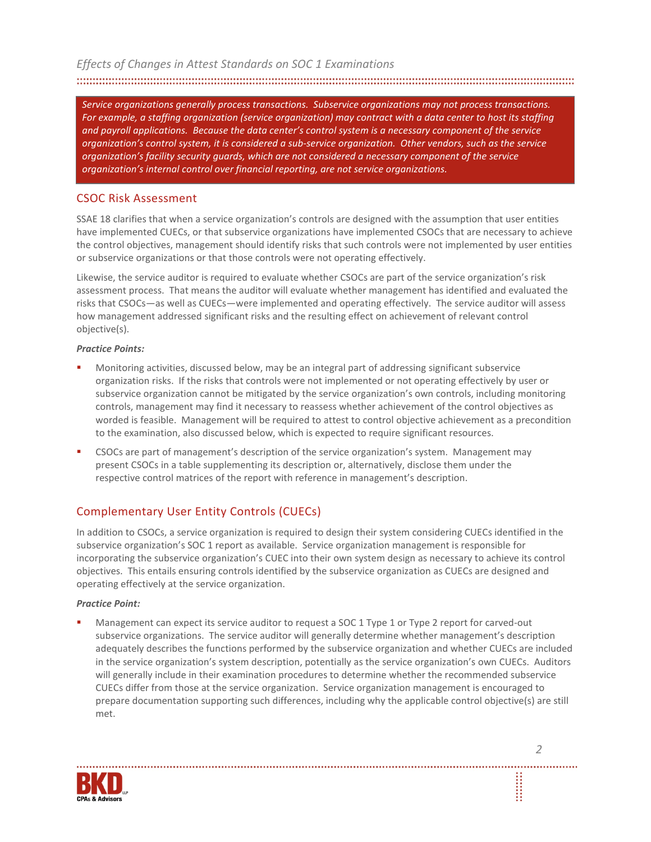*Service organizations generally process transactions. Subservice organizations may not process transactions. For example, a staffing organization (service organization) may contract with a data center to host its staffing and payroll applications. Because the data center's control system is a necessary component of the service organization's control system, it is considered a sub-service organization. Other vendors, such as the service organization's facility security guards, which are not considered a necessary component of the service organization's internal control over financial reporting, are not service organizations.* 

# CSOC Risk Assessment

SSAE 18 clarifies that when a service organization's controls are designed with the assumption that user entities have implemented CUECs, or that subservice organizations have implemented CSOCs that are necessary to achieve the control objectives, management should identify risks that such controls were not implemented by user entities or subservice organizations or that those controls were not operating effectively.

Likewise, the service auditor is required to evaluate whether CSOCs are part of the service organization's risk assessment process. That means the auditor will evaluate whether management has identified and evaluated the risks that CSOCs—as well as CUECs—were implemented and operating effectively. The service auditor will assess how management addressed significant risks and the resulting effect on achievement of relevant control objective(s).

#### *Practice Points:*

- Monitoring activities, discussed below, may be an integral part of addressing significant subservice organization risks. If the risks that controls were not implemented or not operating effectively by user or subservice organization cannot be mitigated by the service organization's own controls, including monitoring controls, management may find it necessary to reassess whether achievement of the control objectives as worded is feasible. Management will be required to attest to control objective achievement as a precondition to the examination, also discussed below, which is expected to require significant resources.
- CSOCs are part of management's description of the service organization's system. Management may present CSOCs in a table supplementing its description or, alternatively, disclose them under the respective control matrices of the report with reference in management's description.

# Complementary User Entity Controls (CUECs)

In addition to CSOCs, a service organization is required to design their system considering CUECs identified in the subservice organization's SOC 1 report as available. Service organization management is responsible for incorporating the subservice organization's CUEC into their own system design as necessary to achieve its control objectives. This entails ensuring controls identified by the subservice organization as CUECs are designed and operating effectively at the service organization.

#### *Practice Point:*

 Management can expect its service auditor to request a SOC 1 Type 1 or Type 2 report for carved-out subservice organizations. The service auditor will generally determine whether management's description adequately describes the functions performed by the subservice organization and whether CUECs are included in the service organization's system description, potentially as the service organization's own CUECs. Auditors will generally include in their examination procedures to determine whether the recommended subservice CUECs differ from those at the service organization. Service organization management is encouraged to prepare documentation supporting such differences, including why the applicable control objective(s) are still met.

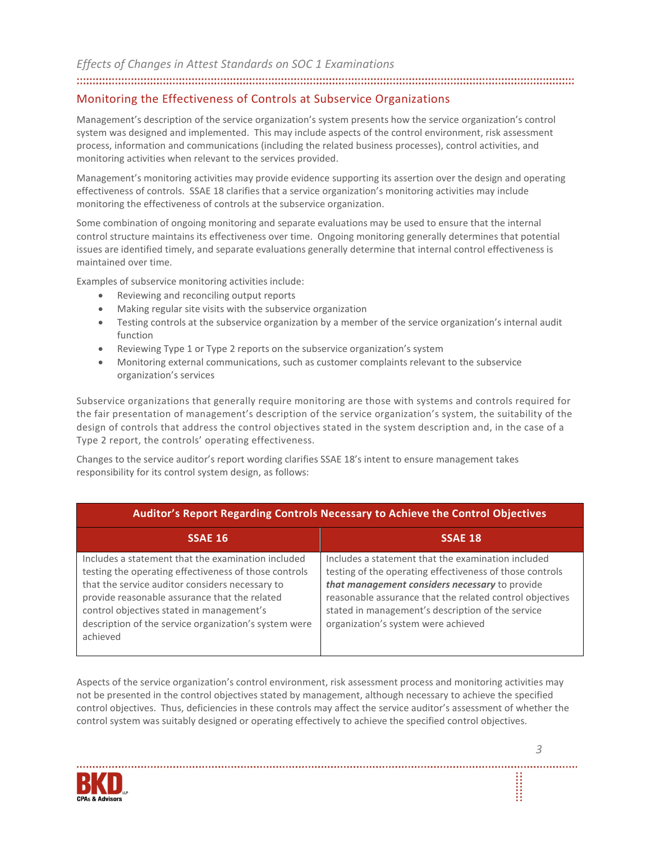#### 

# Monitoring the Effectiveness of Controls at Subservice Organizations

Management's description of the service organization's system presents how the service organization's control system was designed and implemented. This may include aspects of the control environment, risk assessment process, information and communications (including the related business processes), control activities, and monitoring activities when relevant to the services provided.

Management's monitoring activities may provide evidence supporting its assertion over the design and operating effectiveness of controls. SSAE 18 clarifies that a service organization's monitoring activities may include monitoring the effectiveness of controls at the subservice organization.

Some combination of ongoing monitoring and separate evaluations may be used to ensure that the internal control structure maintains its effectiveness over time. Ongoing monitoring generally determines that potential issues are identified timely, and separate evaluations generally determine that internal control effectiveness is maintained over time.

Examples of subservice monitoring activities include:

- Reviewing and reconciling output reports
- Making regular site visits with the subservice organization
- Testing controls at the subservice organization by a member of the service organization's internal audit function
- Reviewing Type 1 or Type 2 reports on the subservice organization's system
- Monitoring external communications, such as customer complaints relevant to the subservice organization's services

Subservice organizations that generally require monitoring are those with systems and controls required for the fair presentation of management's description of the service organization's system, the suitability of the design of controls that address the control objectives stated in the system description and, in the case of a Type 2 report, the controls' operating effectiveness.

Changes to the service auditor's report wording clarifies SSAE 18's intent to ensure management takes responsibility for its control system design, as follows:

| Auditor's Report Regarding Controls Necessary to Achieve the Control Objectives                                                                                                                                                                                                                                                   |                                                                                                                                                                                                                                                                                                                          |  |
|-----------------------------------------------------------------------------------------------------------------------------------------------------------------------------------------------------------------------------------------------------------------------------------------------------------------------------------|--------------------------------------------------------------------------------------------------------------------------------------------------------------------------------------------------------------------------------------------------------------------------------------------------------------------------|--|
| <b>SSAE 16</b>                                                                                                                                                                                                                                                                                                                    | <b>SSAE 18</b>                                                                                                                                                                                                                                                                                                           |  |
| Includes a statement that the examination included<br>testing the operating effectiveness of those controls<br>that the service auditor considers necessary to<br>provide reasonable assurance that the related<br>control objectives stated in management's<br>description of the service organization's system were<br>achieved | Includes a statement that the examination included<br>testing of the operating effectiveness of those controls<br>that management considers necessary to provide<br>reasonable assurance that the related control objectives<br>stated in management's description of the service<br>organization's system were achieved |  |

Aspects of the service organization's control environment, risk assessment process and monitoring activities may not be presented in the control objectives stated by management, although necessary to achieve the specified control objectives. Thus, deficiencies in these controls may affect the service auditor's assessment of whether the control system was suitably designed or operating effectively to achieve the specified control objectives.

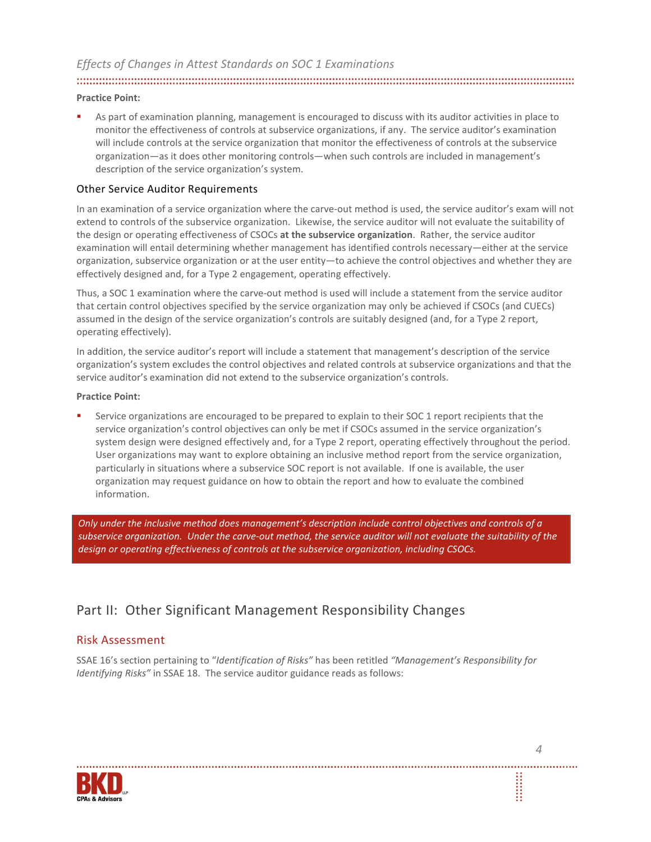# 

#### **Practice Point:**

 As part of examination planning, management is encouraged to discuss with its auditor activities in place to monitor the effectiveness of controls at subservice organizations, if any. The service auditor's examination will include controls at the service organization that monitor the effectiveness of controls at the subservice organization—as it does other monitoring controls—when such controls are included in management's description of the service organization's system.

#### Other Service Auditor Requirements

In an examination of a service organization where the carve-out method is used, the service auditor's exam will not extend to controls of the subservice organization. Likewise, the service auditor will not evaluate the suitability of the design or operating effectiveness of CSOCs **at the subservice organization**. Rather, the service auditor examination will entail determining whether management has identified controls necessary—either at the service organization, subservice organization or at the user entity—to achieve the control objectives and whether they are effectively designed and, for a Type 2 engagement, operating effectively.

Thus, a SOC 1 examination where the carve-out method is used will include a statement from the service auditor that certain control objectives specified by the service organization may only be achieved if CSOCs (and CUECs) assumed in the design of the service organization's controls are suitably designed (and, for a Type 2 report, operating effectively).

In addition, the service auditor's report will include a statement that management's description of the service organization's system excludes the control objectives and related controls at subservice organizations and that the service auditor's examination did not extend to the subservice organization's controls.

#### **Practice Point:**

 Service organizations are encouraged to be prepared to explain to their SOC 1 report recipients that the service organization's control objectives can only be met if CSOCs assumed in the service organization's system design were designed effectively and, for a Type 2 report, operating effectively throughout the period. User organizations may want to explore obtaining an inclusive method report from the service organization, particularly in situations where a subservice SOC report is not available. If one is available, the user organization may request guidance on how to obtain the report and how to evaluate the combined information.

*Only under the inclusive method does management's description include control objectives and controls of a subservice organization. Under the carve-out method, the service auditor will not evaluate the suitability of the design or operating effectiveness of controls at the subservice organization, including CSOCs.* 

# Part II: Other Significant Management Responsibility Changes

### Risk Assessment

SSAE 16's section pertaining to "*Identification of Risks"* has been retitled *"Management's Responsibility for Identifying Risks"* in SSAE 18. The service auditor guidance reads as follows:

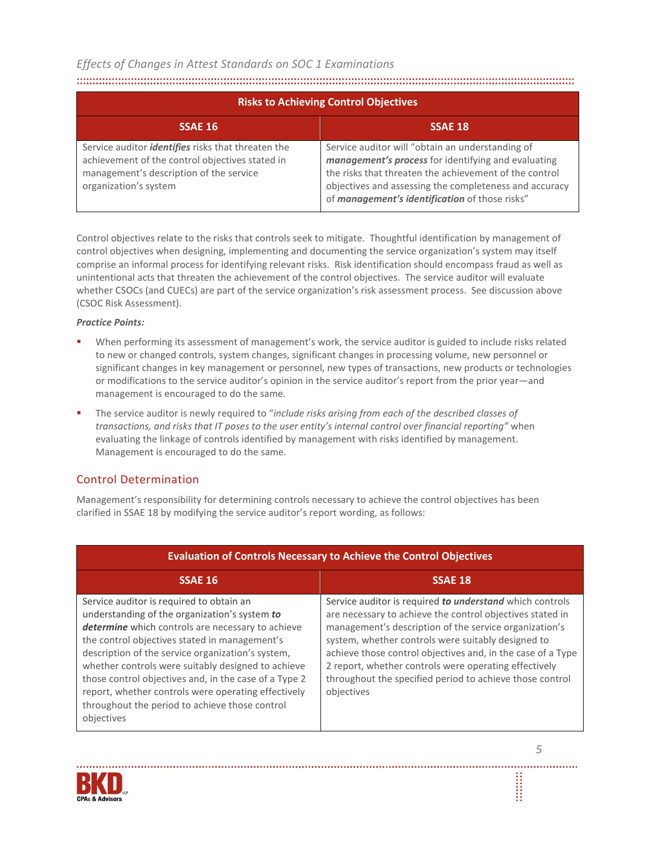#### 

| <b>Risks to Achieving Control Objectives</b>                                                                                                                                     |                                                                                                                                                                                                                                                                               |  |
|----------------------------------------------------------------------------------------------------------------------------------------------------------------------------------|-------------------------------------------------------------------------------------------------------------------------------------------------------------------------------------------------------------------------------------------------------------------------------|--|
| SSAE 16                                                                                                                                                                          | <b>SSAE 18</b>                                                                                                                                                                                                                                                                |  |
| Service auditor <i>identifies</i> risks that threaten the<br>achievement of the control objectives stated in<br>management's description of the service<br>organization's system | Service auditor will "obtain an understanding of<br>management's process for identifying and evaluating<br>the risks that threaten the achievement of the control<br>objectives and assessing the completeness and accuracy<br>of management's identification of those risks" |  |

Control objectives relate to the risks that controls seek to mitigate. Thoughtful identification by management of control objectives when designing, implementing and documenting the service organization's system may itself comprise an informal process for identifying relevant risks. Risk identification should encompass fraud as well as unintentional acts that threaten the achievement of the control objectives. The service auditor will evaluate whether CSOCs (and CUECs) are part of the service organization's risk assessment process. See discussion above (CSOC Risk Assessment).

#### *Practice Points:*

- When performing its assessment of management's work, the service auditor is guided to include risks related to new or changed controls, system changes, significant changes in processing volume, new personnel or significant changes in key management or personnel, new types of transactions, new products or technologies or modifications to the service auditor's opinion in the service auditor's report from the prior year—and management is encouraged to do the same*.*
- The service auditor is newly required to "*include risks arising from each of the described classes of transactions, and risks that IT poses to the user entity's internal control over financial reporting"* when evaluating the linkage of controls identified by management with risks identified by management. Management is encouraged to do the same.

# Control Determination

Management's responsibility for determining controls necessary to achieve the control objectives has been clarified in SSAE 18 by modifying the service auditor's report wording, as follows:

| <b>Evaluation of Controls Necessary to Achieve the Control Objectives</b>                                                                                                                                                                                                                                                                                                                                                                                                                  |                                                                                                                                                                                                                                                                                                                                                                                                                                         |  |
|--------------------------------------------------------------------------------------------------------------------------------------------------------------------------------------------------------------------------------------------------------------------------------------------------------------------------------------------------------------------------------------------------------------------------------------------------------------------------------------------|-----------------------------------------------------------------------------------------------------------------------------------------------------------------------------------------------------------------------------------------------------------------------------------------------------------------------------------------------------------------------------------------------------------------------------------------|--|
| <b>SSAE 16</b>                                                                                                                                                                                                                                                                                                                                                                                                                                                                             | <b>SSAE 18</b>                                                                                                                                                                                                                                                                                                                                                                                                                          |  |
| Service auditor is required to obtain an<br>understanding of the organization's system to<br>determine which controls are necessary to achieve<br>the control objectives stated in management's<br>description of the service organization's system,<br>whether controls were suitably designed to achieve<br>those control objectives and, in the case of a Type 2<br>report, whether controls were operating effectively<br>throughout the period to achieve those control<br>objectives | Service auditor is required to understand which controls<br>are necessary to achieve the control objectives stated in<br>management's description of the service organization's<br>system, whether controls were suitably designed to<br>achieve those control objectives and, in the case of a Type<br>2 report, whether controls were operating effectively<br>throughout the specified period to achieve those control<br>objectives |  |

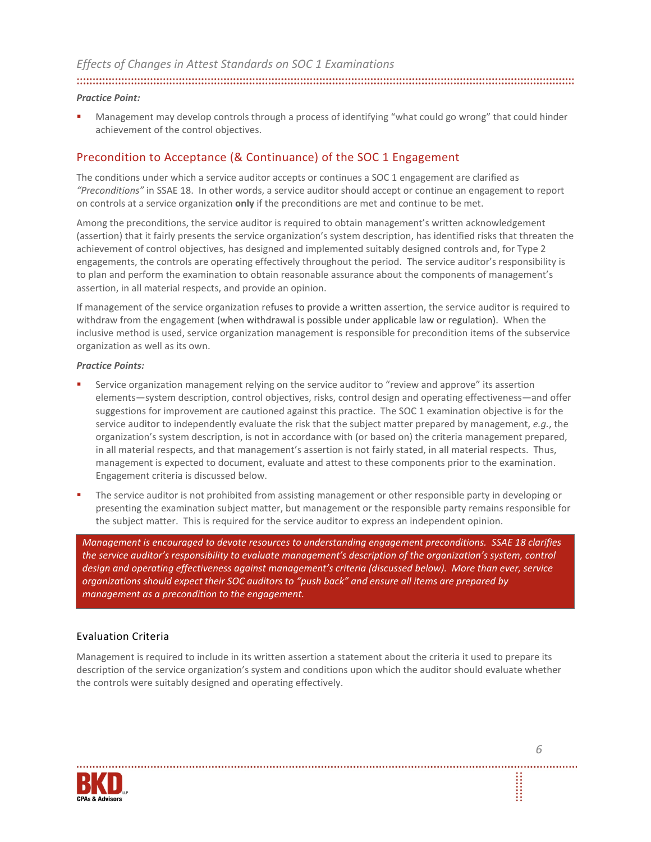## 

#### *Practice Point:*

 Management may develop controls through a process of identifying "what could go wrong" that could hinder achievement of the control objectives.

#### Precondition to Acceptance (& Continuance) of the SOC 1 Engagement

The conditions under which a service auditor accepts or continues a SOC 1 engagement are clarified as *"Preconditions"* in SSAE 18. In other words, a service auditor should accept or continue an engagement to report on controls at a service organization **only** if the preconditions are met and continue to be met.

Among the preconditions, the service auditor is required to obtain management's written acknowledgement (assertion) that it fairly presents the service organization's system description, has identified risks that threaten the achievement of control objectives, has designed and implemented suitably designed controls and, for Type 2 engagements, the controls are operating effectively throughout the period. The service auditor's responsibility is to plan and perform the examination to obtain reasonable assurance about the components of management's assertion, in all material respects, and provide an opinion.

If management of the service organization refuses to provide a written assertion, the service auditor is required to withdraw from the engagement (when withdrawal is possible under applicable law or regulation). When the inclusive method is used, service organization management is responsible for precondition items of the subservice organization as well as its own.

#### *Practice Points:*

- Service organization management relying on the service auditor to "review and approve" its assertion elements—system description, control objectives, risks, control design and operating effectiveness—and offer suggestions for improvement are cautioned against this practice. The SOC 1 examination objective is for the service auditor to independently evaluate the risk that the subject matter prepared by management, *e.g.*, the organization's system description, is not in accordance with (or based on) the criteria management prepared, in all material respects, and that management's assertion is not fairly stated, in all material respects. Thus, management is expected to document, evaluate and attest to these components prior to the examination. Engagement criteria is discussed below.
- The service auditor is not prohibited from assisting management or other responsible party in developing or presenting the examination subject matter, but management or the responsible party remains responsible for the subject matter. This is required for the service auditor to express an independent opinion.

*Management is encouraged to devote resources to understanding engagement preconditions. SSAE 18 clarifies the service auditor's responsibility to evaluate management's description of the organization's system, control design and operating effectiveness against management's criteria (discussed below). More than ever, service organizations should expect their SOC auditors to "push back" and ensure all items are prepared by management as a precondition to the engagement.*

#### Evaluation Criteria

Management is required to include in its written assertion a statement about the criteria it used to prepare its description of the service organization's system and conditions upon which the auditor should evaluate whether the controls were suitably designed and operating effectively.

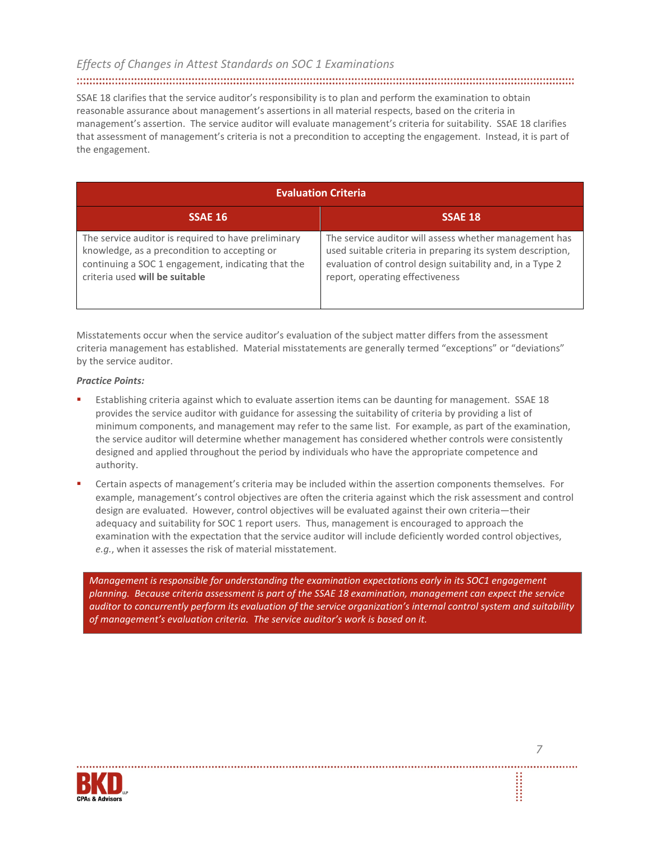# 

SSAE 18 clarifies that the service auditor's responsibility is to plan and perform the examination to obtain reasonable assurance about management's assertions in all material respects, based on the criteria in management's assertion. The service auditor will evaluate management's criteria for suitability. SSAE 18 clarifies that assessment of management's criteria is not a precondition to accepting the engagement. Instead, it is part of the engagement.

| <b>Evaluation Criteria</b>                                                                                                                                                                  |                                                                                                                                                                                                                       |  |
|---------------------------------------------------------------------------------------------------------------------------------------------------------------------------------------------|-----------------------------------------------------------------------------------------------------------------------------------------------------------------------------------------------------------------------|--|
| SSAE 16                                                                                                                                                                                     | <b>SSAE 18</b>                                                                                                                                                                                                        |  |
| The service auditor is required to have preliminary<br>knowledge, as a precondition to accepting or<br>continuing a SOC 1 engagement, indicating that the<br>criteria used will be suitable | The service auditor will assess whether management has<br>used suitable criteria in preparing its system description,<br>evaluation of control design suitability and, in a Type 2<br>report, operating effectiveness |  |

Misstatements occur when the service auditor's evaluation of the subject matter differs from the assessment criteria management has established. Material misstatements are generally termed "exceptions" or "deviations" by the service auditor.

#### *Practice Points:*

- Establishing criteria against which to evaluate assertion items can be daunting for management. SSAE 18 provides the service auditor with guidance for assessing the suitability of criteria by providing a list of minimum components, and management may refer to the same list. For example, as part of the examination, the service auditor will determine whether management has considered whether controls were consistently designed and applied throughout the period by individuals who have the appropriate competence and authority.
- Certain aspects of management's criteria may be included within the assertion components themselves. For example, management's control objectives are often the criteria against which the risk assessment and control design are evaluated. However, control objectives will be evaluated against their own criteria—their adequacy and suitability for SOC 1 report users. Thus, management is encouraged to approach the examination with the expectation that the service auditor will include deficiently worded control objectives, *e.g.*, when it assesses the risk of material misstatement.

*Management is responsible for understanding the examination expectations early in its SOC1 engagement planning. Because criteria assessment is part of the SSAE 18 examination, management can expect the service auditor to concurrently perform its evaluation of the service organization's internal control system and suitability of management's evaluation criteria. The service auditor's work is based on it.* 

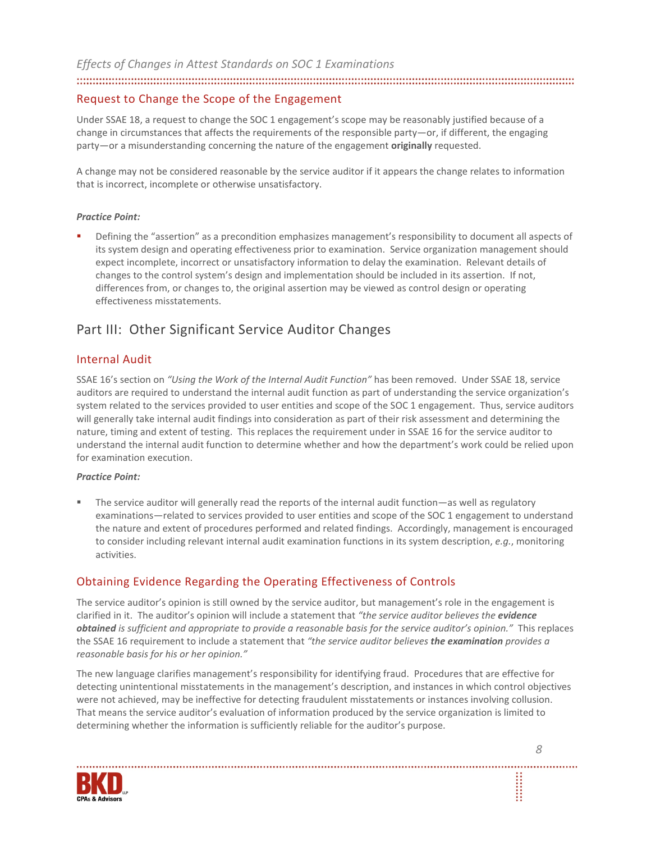#### 

#### Request to Change the Scope of the Engagement

Under SSAE 18, a request to change the SOC 1 engagement's scope may be reasonably justified because of a change in circumstances that affects the requirements of the responsible party—or, if different, the engaging party—or a misunderstanding concerning the nature of the engagement **originally** requested.

A change may not be considered reasonable by the service auditor if it appears the change relates to information that is incorrect, incomplete or otherwise unsatisfactory.

#### *Practice Point:*

 Defining the "assertion" as a precondition emphasizes management's responsibility to document all aspects of its system design and operating effectiveness prior to examination. Service organization management should expect incomplete, incorrect or unsatisfactory information to delay the examination. Relevant details of changes to the control system's design and implementation should be included in its assertion. If not, differences from, or changes to, the original assertion may be viewed as control design or operating effectiveness misstatements.

# Part III: Other Significant Service Auditor Changes

#### Internal Audit

SSAE 16's section on *"Using the Work of the Internal Audit Function"* has been removed. Under SSAE 18, service auditors are required to understand the internal audit function as part of understanding the service organization's system related to the services provided to user entities and scope of the SOC 1 engagement. Thus, service auditors will generally take internal audit findings into consideration as part of their risk assessment and determining the nature, timing and extent of testing. This replaces the requirement under in SSAE 16 for the service auditor to understand the internal audit function to determine whether and how the department's work could be relied upon for examination execution.

#### *Practice Point:*

 The service auditor will generally read the reports of the internal audit function—as well as regulatory examinations—related to services provided to user entities and scope of the SOC 1 engagement to understand the nature and extent of procedures performed and related findings. Accordingly, management is encouraged to consider including relevant internal audit examination functions in its system description, *e.g.*, monitoring activities.

### Obtaining Evidence Regarding the Operating Effectiveness of Controls

The service auditor's opinion is still owned by the service auditor, but management's role in the engagement is clarified in it. The auditor's opinion will include a statement that *"the service auditor believes the evidence obtained is sufficient and appropriate to provide a reasonable basis for the service auditor's opinion."* This replaces the SSAE 16 requirement to include a statement that *"the service auditor believes the examination provides a reasonable basis for his or her opinion."* 

The new language clarifies management's responsibility for identifying fraud. Procedures that are effective for detecting unintentional misstatements in the management's description, and instances in which control objectives were not achieved, may be ineffective for detecting fraudulent misstatements or instances involving collusion. That means the service auditor's evaluation of information produced by the service organization is limited to determining whether the information is sufficiently reliable for the auditor's purpose.

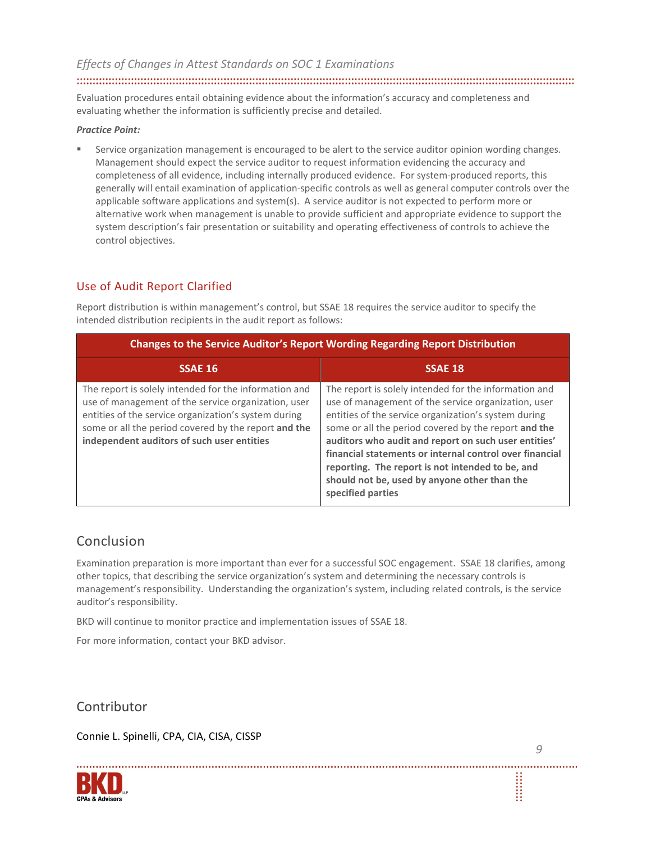Evaluation procedures entail obtaining evidence about the information's accuracy and completeness and evaluating whether the information is sufficiently precise and detailed.

#### *Practice Point:*

 Service organization management is encouraged to be alert to the service auditor opinion wording changes. Management should expect the service auditor to request information evidencing the accuracy and completeness of all evidence, including internally produced evidence. For system-produced reports, this generally will entail examination of application-specific controls as well as general computer controls over the applicable software applications and system(s). A service auditor is not expected to perform more or alternative work when management is unable to provide sufficient and appropriate evidence to support the system description's fair presentation or suitability and operating effectiveness of controls to achieve the control objectives.

# Use of Audit Report Clarified

Report distribution is within management's control, but SSAE 18 requires the service auditor to specify the intended distribution recipients in the audit report as follows:

| Changes to the Service Auditor's Report Wording Regarding Report Distribution                                                                                                                                                                                              |                                                                                                                                                                                                                                                                                                                                                                                                                                                                          |  |
|----------------------------------------------------------------------------------------------------------------------------------------------------------------------------------------------------------------------------------------------------------------------------|--------------------------------------------------------------------------------------------------------------------------------------------------------------------------------------------------------------------------------------------------------------------------------------------------------------------------------------------------------------------------------------------------------------------------------------------------------------------------|--|
| <b>SSAE 16</b>                                                                                                                                                                                                                                                             | <b>SSAE 18</b>                                                                                                                                                                                                                                                                                                                                                                                                                                                           |  |
| The report is solely intended for the information and<br>use of management of the service organization, user<br>entities of the service organization's system during<br>some or all the period covered by the report and the<br>independent auditors of such user entities | The report is solely intended for the information and<br>use of management of the service organization, user<br>entities of the service organization's system during<br>some or all the period covered by the report and the<br>auditors who audit and report on such user entities'<br>financial statements or internal control over financial<br>reporting. The report is not intended to be, and<br>should not be, used by anyone other than the<br>specified parties |  |

# Conclusion

Examination preparation is more important than ever for a successful SOC engagement. SSAE 18 clarifies, among other topics, that describing the service organization's system and determining the necessary controls is management's responsibility. Understanding the organization's system, including related controls, is the service auditor's responsibility.

BKD will continue to monitor practice and implementation issues of SSAE 18.

For more information, contact your BKD advisor.

Contributor

Connie L. Spinelli, CPA, CIA, CISA, CISSP